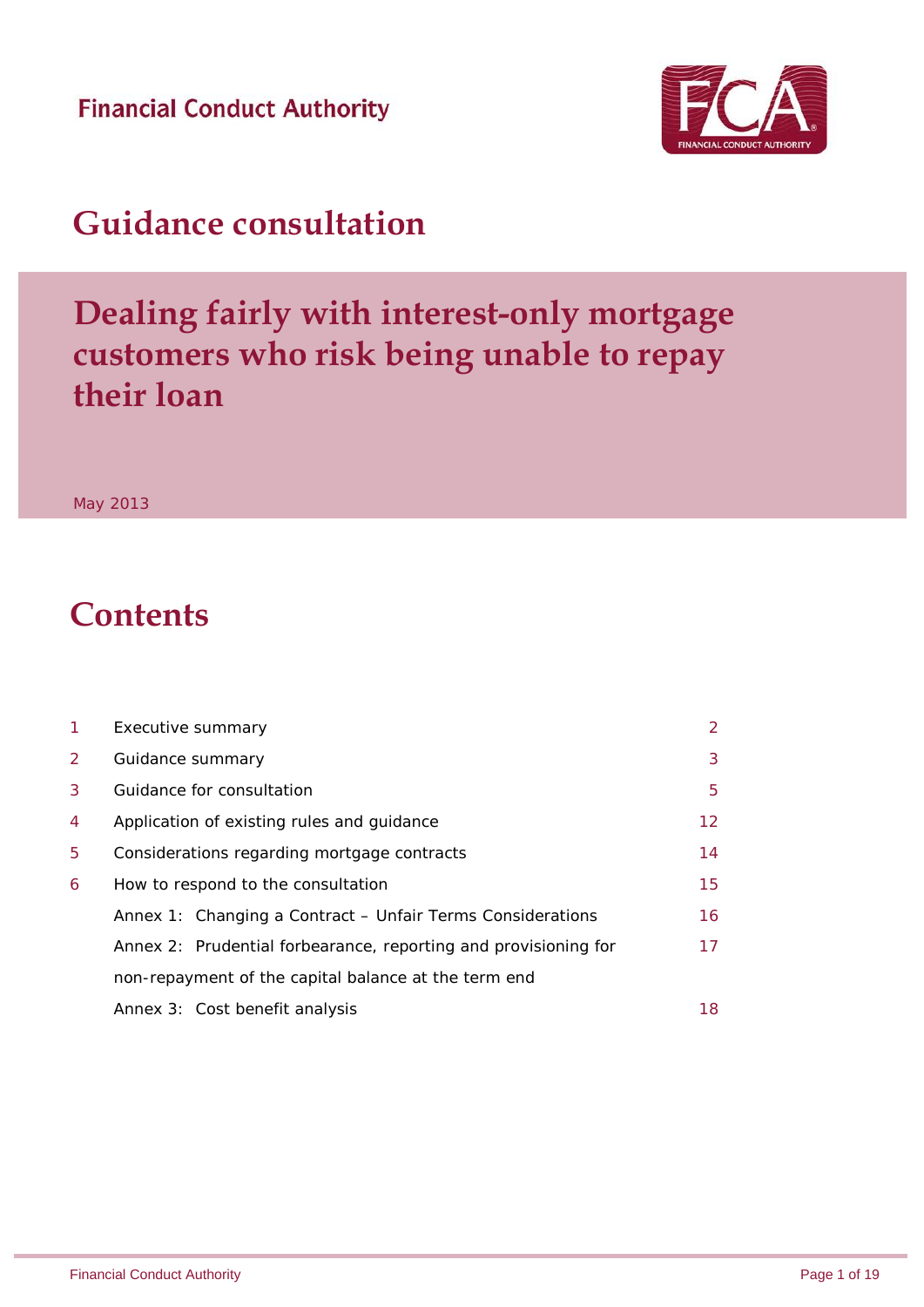**Financial Conduct Authority** 



# **Guidance consultation**

# **Dealing fairly with interest-only mortgage customers who risk being unable to repay their loan**

May 2013

# **Contents**

| 1 | Executive summary                                               | 2  |  |  |
|---|-----------------------------------------------------------------|----|--|--|
| 2 | Guidance summary                                                |    |  |  |
| 3 | Guidance for consultation                                       |    |  |  |
| 4 | Application of existing rules and guidance                      |    |  |  |
| 5 | Considerations regarding mortgage contracts                     |    |  |  |
| 6 | How to respond to the consultation                              | 15 |  |  |
|   | Annex 1: Changing a Contract - Unfair Terms Considerations      | 16 |  |  |
|   | Annex 2: Prudential forbearance, reporting and provisioning for | 17 |  |  |
|   | non-repayment of the capital balance at the term end            |    |  |  |
|   | Annex 3: Cost benefit analysis                                  | 18 |  |  |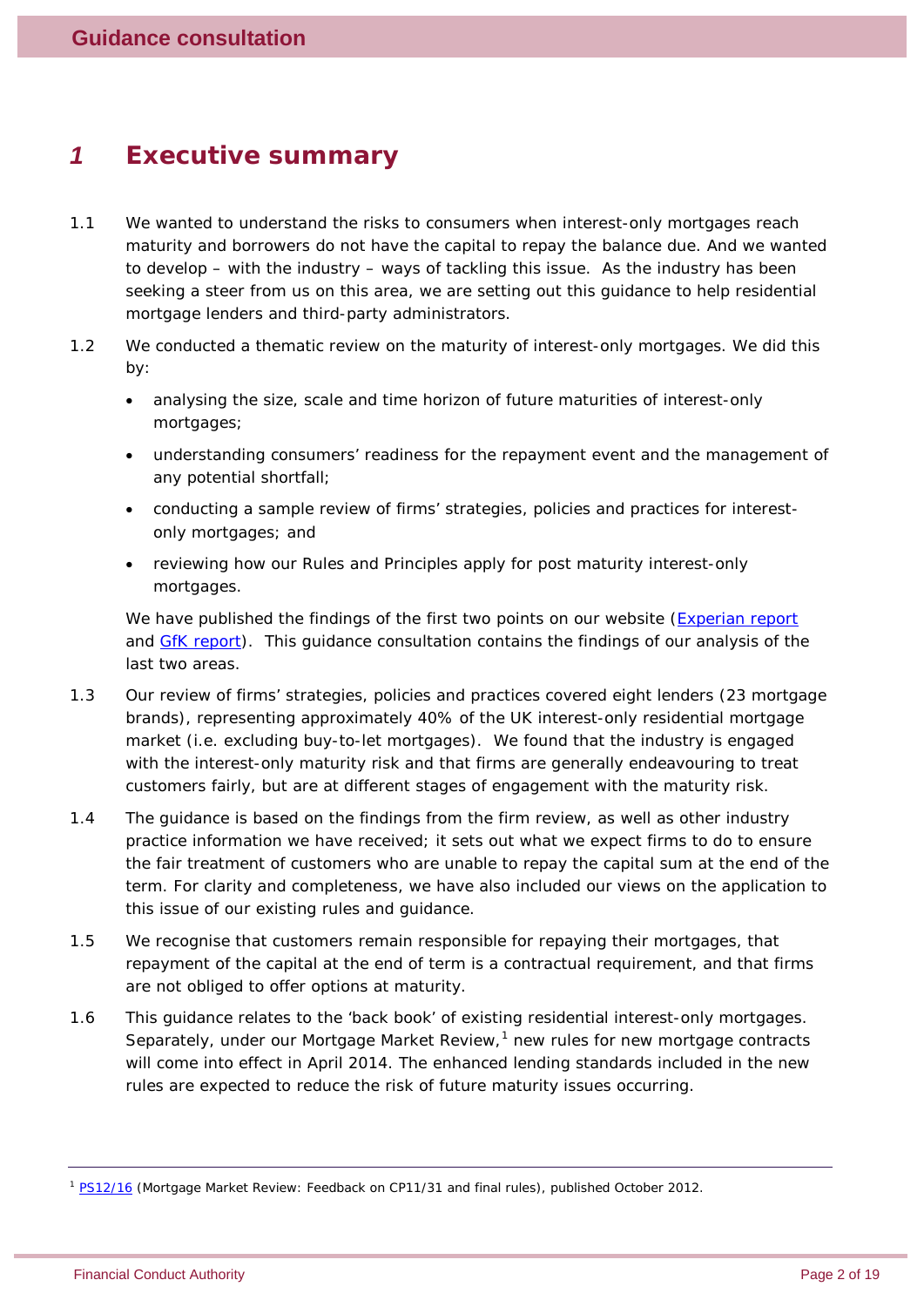# *1 Executive summary*

- 1.1 We wanted to understand the risks to consumers when interest-only mortgages reach maturity and borrowers do not have the capital to repay the balance due. And we wanted to develop – with the industry – ways of tackling this issue. As the industry has been seeking a steer from us on this area, we are setting out this guidance to help residential mortgage lenders and third-party administrators.
- 1.2 We conducted a thematic review on the maturity of interest-only mortgages. We did this by:
	- analysing the size, scale and time horizon of future maturities of interest-only mortgages;
	- understanding consumers' readiness for the repayment event and the management of any potential shortfall;
	- conducting a sample review of firms' strategies, policies and practices for interestonly mortgages; and
	- reviewing how our Rules and Principles apply for post maturity interest-only mortgages.

We have published the findings of the first two points on our website [\(Experian report](http://www.fca.org.uk/your-fca/documents/research/residential-interest-only-mortgages) and [GfK report\)](http://www.fca.org.uk/your-fca/documents/research/interest-only-mortgages-gfk)*.* This guidance consultation contains the findings of our analysis of the last two areas.

- 1.3 Our review of firms' strategies, policies and practices covered eight lenders (23 mortgage brands), representing approximately 40% of the UK interest-only residential mortgage market (i.e. excluding buy-to-let mortgages). We found that the industry is engaged with the interest-only maturity risk and that firms are generally endeavouring to treat customers fairly, but are at different stages of engagement with the maturity risk.
- 1.4 The guidance is based on the findings from the firm review, as well as other industry practice information we have received; it sets out what we expect firms to do to ensure the fair treatment of customers who are unable to repay the capital sum at the end of the term. For clarity and completeness, we have also included our views on the application to this issue of our existing rules and guidance.
- 1.5 We recognise that customers remain responsible for repaying their mortgages, that repayment of the capital at the end of term is a contractual requirement, and that firms are not obliged to offer options at maturity.
- 1.6 This guidance relates to the 'back book' of existing residential interest-only mortgages. Separately, under our Mortgage Market Review, $<sup>1</sup>$  $<sup>1</sup>$  $<sup>1</sup>$  new rules for new mortgage contracts</sup> will come into effect in April 2014. The enhanced lending standards included in the new rules are expected to reduce the risk of future maturity issues occurring.

<span id="page-1-0"></span><sup>1</sup> [PS12/16](http://www.fca.org.uk/your-fca/documents/policy-statements/fsa-ps12-16) (*Mortgage Market Review: Feedback on CP11/31 and final rules*), published October 2012.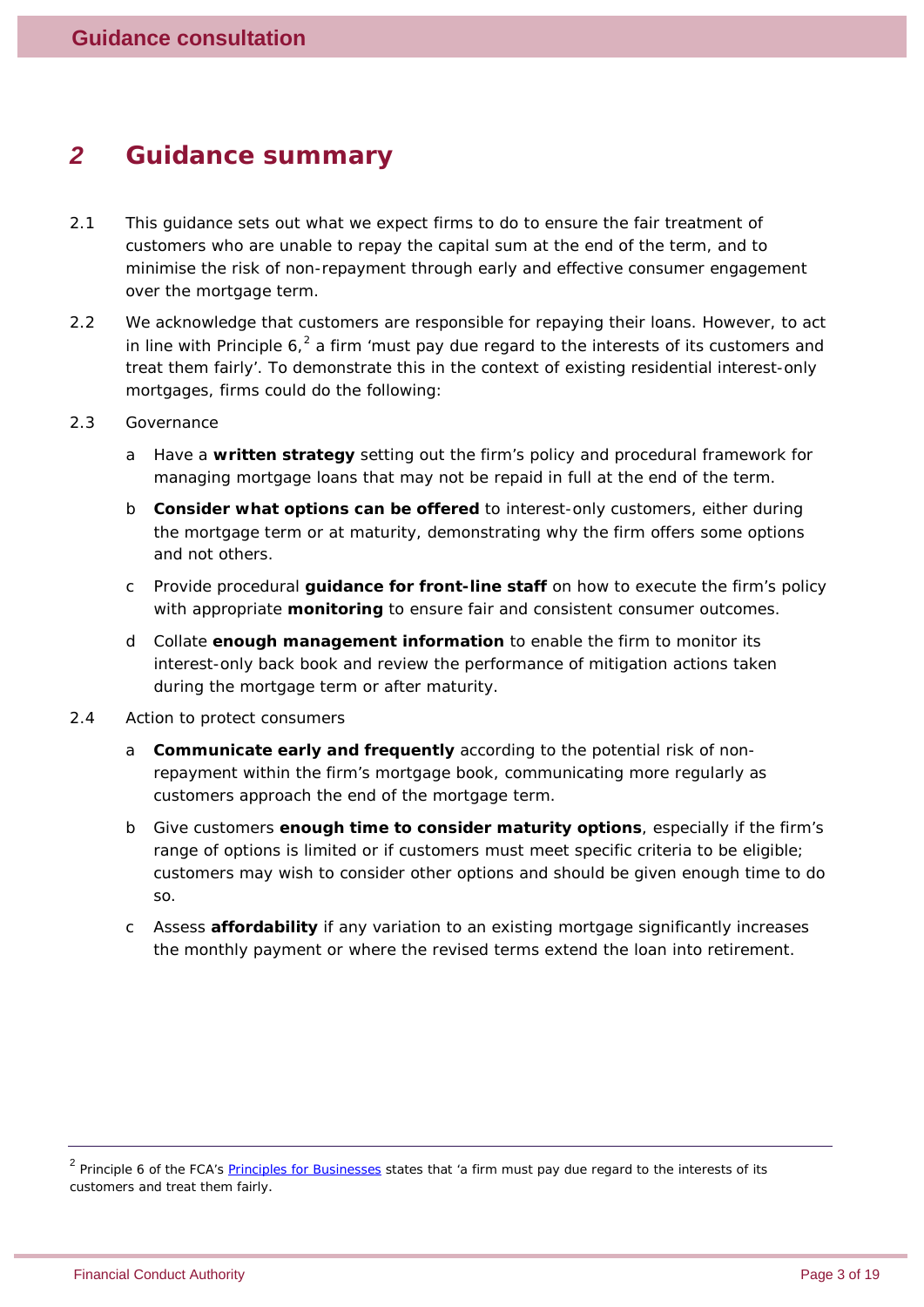### *2 Guidance summary*

- 2.1 This guidance sets out what we expect firms to do to ensure the fair treatment of customers who are unable to repay the capital sum at the end of the term, and to minimise the risk of non-repayment through early and effective consumer engagement over the mortgage term.
- 2.2 We acknowledge that customers are responsible for repaying their loans. However, to act in line with Principle  $6<sup>2</sup>$  $6<sup>2</sup>$  $6<sup>2</sup>$  a firm 'must pay due regard to the interests of its customers and treat them fairly'. To demonstrate this in the context of existing residential interest-only mortgages, firms could do the following:
- 2.3 Governance
	- a Have a **written strategy** setting out the firm's policy and procedural framework for managing mortgage loans that may not be repaid in full at the end of the term.
	- b **Consider what options can be offered** to interest-only customers, either during the mortgage term or at maturity, demonstrating why the firm offers some options and not others.
	- c Provide procedural **guidance for front-line staff** on how to execute the firm's policy with appropriate **monitoring** to ensure fair and consistent consumer outcomes.
	- d Collate **enough management information** to enable the firm to monitor its interest-only back book and review the performance of mitigation actions taken during the mortgage term or after maturity.
- 2.4 Action to protect consumers
	- a **Communicate early and frequently** according to the potential risk of nonrepayment within the firm's mortgage book, communicating more regularly as customers approach the end of the mortgage term.
	- b Give customers **enough time to consider maturity options**, especially if the firm's range of options is limited or if customers must meet specific criteria to be eligible; customers may wish to consider other options and should be given enough time to do so.
	- c Assess **affordability** if any variation to an existing mortgage significantly increases the monthly payment or where the revised terms extend the loan into retirement.

<span id="page-2-0"></span><sup>&</sup>lt;sup>2</sup> Principle 6 of the FCA's **Principles for Businesses** states that 'a firm must pay due regard to the interests of its customers and treat them fairly.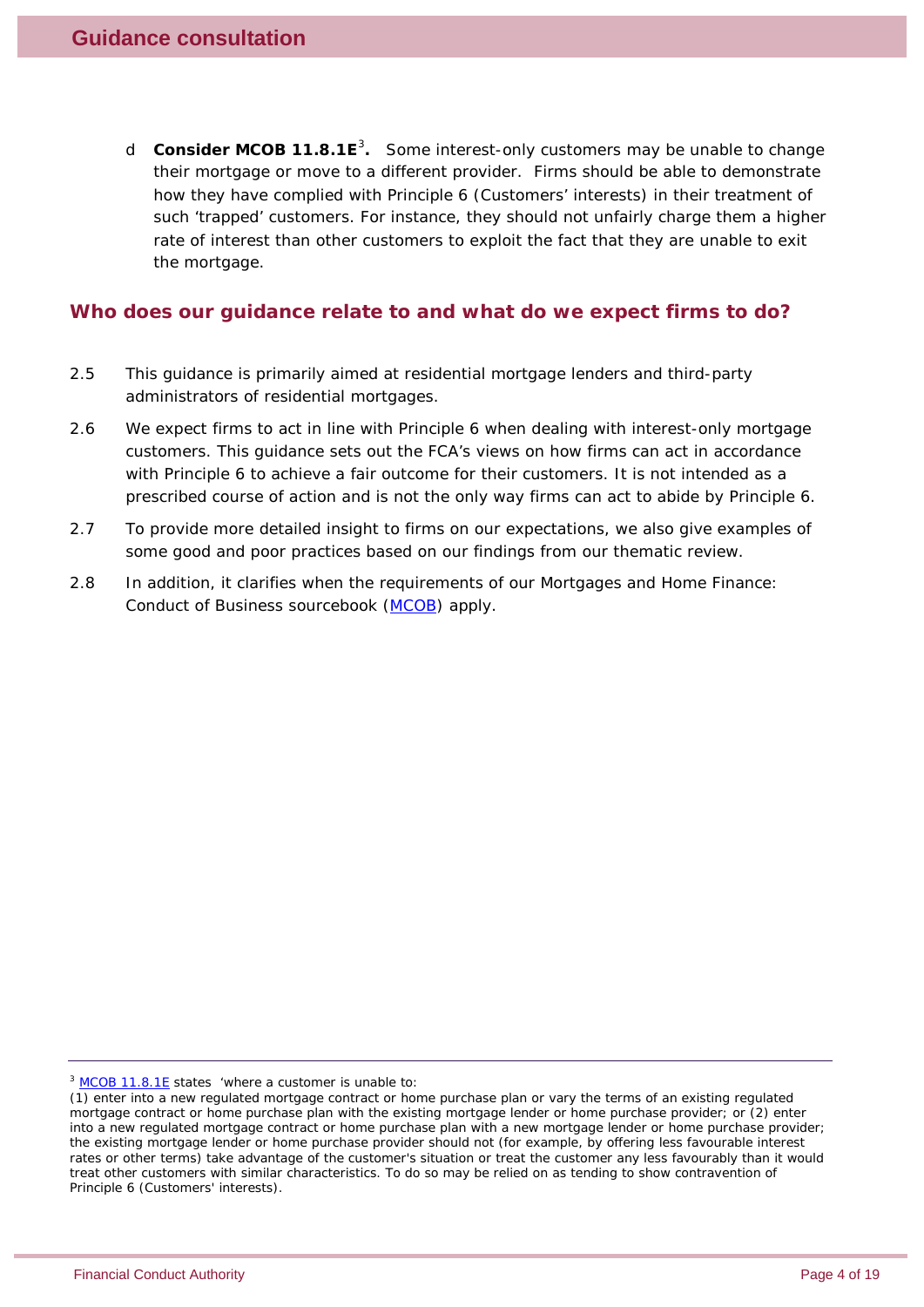d **Consider MCOB 11.8.1E**[3](#page-3-0) **.** Some interest-only customers may be unable to change their mortgage or move to a different provider. Firms should be able to demonstrate how they have complied with Principle 6 (Customers' interests) in their treatment of such 'trapped' customers. For instance, they should not unfairly charge them a higher rate of interest than other customers to exploit the fact that they are unable to exit the mortgage.

#### **Who does our guidance relate to and what do we expect firms to do?**

- 2.5 This guidance is primarily aimed at residential mortgage lenders and third-party administrators of residential mortgages.
- 2.6 We expect firms to act in line with Principle 6 when dealing with interest-only mortgage customers. This guidance sets out the FCA's views on how firms can act in accordance with Principle 6 to achieve a fair outcome for their customers. It is not intended as a prescribed course of action and is not the only way firms can act to abide by Principle 6.
- 2.7 To provide more detailed insight to firms on our expectations, we also give examples of some good and poor practices based on our findings from our thematic review.
- 2.8 In addition, it clarifies when the requirements of our Mortgages and Home Finance: Conduct of Business sourcebook [\(MCOB\)](http://www.fshandbook.info/FS/html/FCA/MCOB) apply.

<span id="page-3-0"></span><sup>3</sup> [MCOB 11.8.1E](http://www.fshandbook.info/FS/html/FCA/MCOB/11/8) states 'where a customer is unable to:

<sup>(1)</sup> enter into a new regulated mortgage contract or home purchase plan or vary the terms of an existing regulated mortgage contract or home purchase plan with the existing mortgage lender or home purchase provider; or (2) enter into a new regulated mortgage contract or home purchase plan with a new mortgage lender or home purchase provider; the existing mortgage lender or home purchase provider should not (for example, by offering less favourable interest rates or other terms) take advantage of the customer's situation or treat the customer any less favourably than it would treat other customers with similar characteristics. To do so may be relied on as tending to show contravention of Principle 6 (Customers' interests).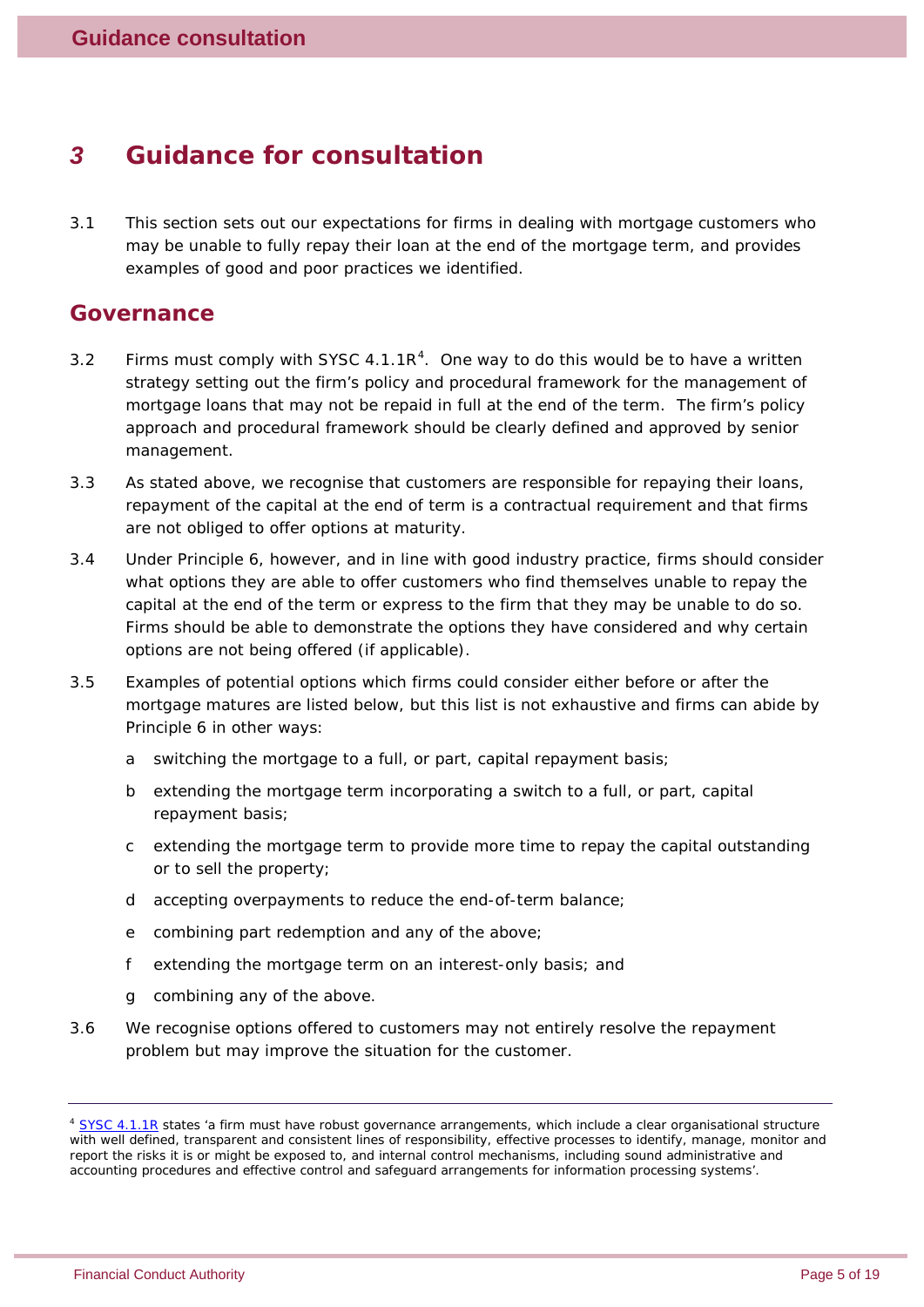## <span id="page-4-1"></span>*3 Guidance for consultation*

3.1 This section sets out our expectations for firms in dealing with mortgage customers who may be unable to fully repay their loan at the end of the mortgage term, and provides examples of good and poor practices we identified.

#### **Governance**

- 3.2 Firms must comply with SYSC  $4.1.1R<sup>4</sup>$  $4.1.1R<sup>4</sup>$ . One way to do this would be to have a written strategy setting out the firm's policy and procedural framework for the management of mortgage loans that may not be repaid in full at the end of the term. The firm's policy approach and procedural framework should be clearly defined and approved by senior management.
- 3.3 As stated above, we recognise that customers are responsible for repaying their loans, repayment of the capital at the end of term is a contractual requirement and that firms are not obliged to offer options at maturity.
- 3.4 Under Principle 6, however, and in line with good industry practice, firms should consider what options they are able to offer customers who find themselves unable to repay the capital at the end of the term or express to the firm that they may be unable to do so. Firms should be able to demonstrate the options they have considered and why certain options are not being offered (if applicable).
- 3.5 Examples of potential options which firms could consider either before or after the mortgage matures are listed below, but this list is not exhaustive and firms can abide by Principle 6 in other ways:
	- a switching the mortgage to a full, or part, capital repayment basis;
	- b extending the mortgage term incorporating a switch to a full, or part, capital repayment basis;
	- c extending the mortgage term to provide more time to repay the capital outstanding or to sell the property;
	- d accepting overpayments to reduce the end-of-term balance;
	- e combining part redemption and any of the above;
	- f extending the mortgage term on an interest-only basis; and
	- g combining any of the above.
- 3.6 We recognise options offered to customers may not entirely resolve the repayment problem but may improve the situation for the customer.

<span id="page-4-0"></span><sup>&</sup>lt;sup>4</sup> [SYSC 4.1.1R](http://www.fshandbook.info/FS/html/FCA/SYSC/4/1) states 'a firm must have robust governance arrangements, which include a clear organisational structure with well defined, transparent and consistent lines of responsibility, effective processes to identify, manage, monitor and report the risks it is or might be exposed to, and internal control mechanisms, including sound administrative and accounting procedures and effective control and safeguard arrangements for information processing systems'.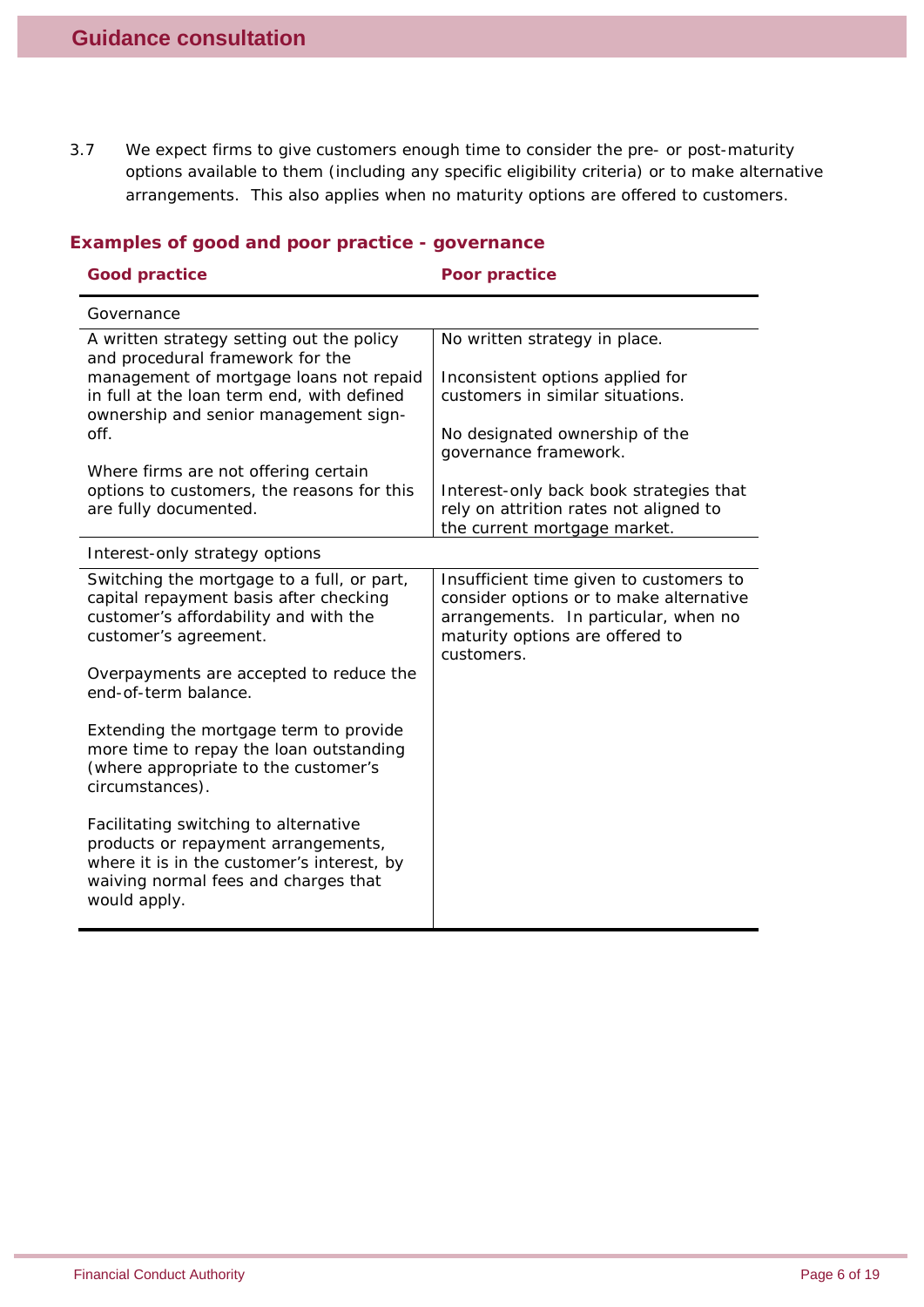3.7 We expect firms to give customers enough time to consider the pre- or post-maturity options available to them (including any specific eligibility criteria) or to make alternative arrangements. This also applies when no maturity options are offered to customers.

| <b>Good practice</b>                                                                                                                                                               | Poor practice                                                                                                                                                               |
|------------------------------------------------------------------------------------------------------------------------------------------------------------------------------------|-----------------------------------------------------------------------------------------------------------------------------------------------------------------------------|
| Governance                                                                                                                                                                         |                                                                                                                                                                             |
| A written strategy setting out the policy<br>and procedural framework for the                                                                                                      | No written strategy in place.                                                                                                                                               |
| management of mortgage loans not repaid<br>in full at the loan term end, with defined<br>ownership and senior management sign-                                                     | Inconsistent options applied for<br>customers in similar situations.                                                                                                        |
| off.                                                                                                                                                                               | No designated ownership of the<br>governance framework.                                                                                                                     |
| Where firms are not offering certain                                                                                                                                               |                                                                                                                                                                             |
| options to customers, the reasons for this<br>are fully documented.                                                                                                                | Interest-only back book strategies that<br>rely on attrition rates not aligned to<br>the current mortgage market.                                                           |
| Interest-only strategy options                                                                                                                                                     |                                                                                                                                                                             |
| Switching the mortgage to a full, or part,<br>capital repayment basis after checking<br>customer's affordability and with the<br>customer's agreement.                             | Insufficient time given to customers to<br>consider options or to make alternative<br>arrangements. In particular, when no<br>maturity options are offered to<br>customers. |
| Overpayments are accepted to reduce the<br>end-of-term balance.                                                                                                                    |                                                                                                                                                                             |
| Extending the mortgage term to provide<br>more time to repay the loan outstanding<br>(where appropriate to the customer's<br>circumstances).                                       |                                                                                                                                                                             |
| Facilitating switching to alternative<br>products or repayment arrangements,<br>where it is in the customer's interest, by<br>waiving normal fees and charges that<br>would apply. |                                                                                                                                                                             |

#### *Examples of good and poor practice - governance*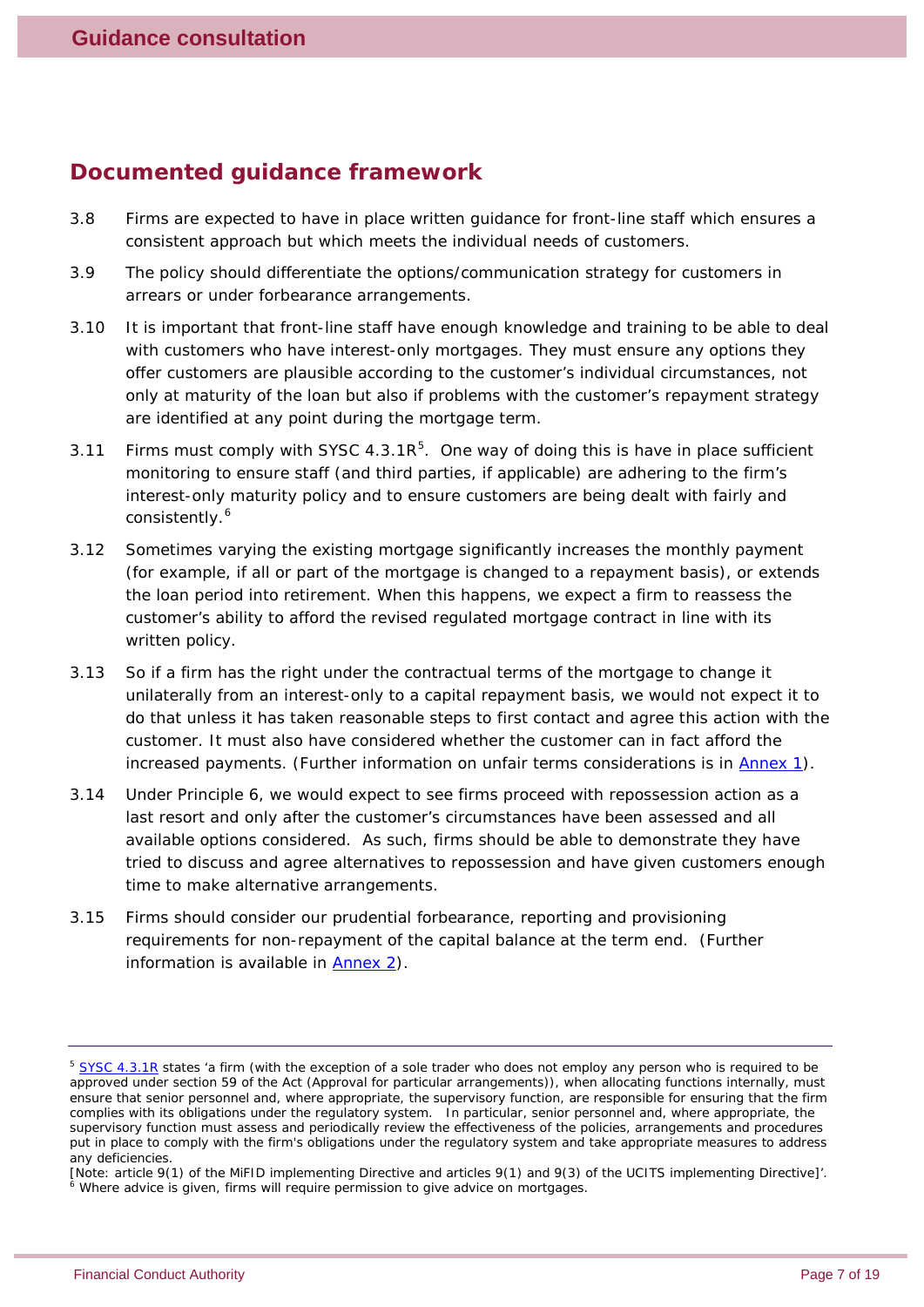#### **Documented guidance framework**

- 3.8 Firms are expected to have in place written guidance for front-line staff which ensures a consistent approach but which meets the individual needs of customers.
- 3.9 The policy should differentiate the options/communication strategy for customers in arrears or under forbearance arrangements.
- 3.10 It is important that front-line staff have enough knowledge and training to be able to deal with customers who have interest-only mortgages. They must ensure any options they offer customers are plausible according to the customer's individual circumstances, not only at maturity of the loan but also if problems with the customer's repayment strategy are identified at any point during the mortgage term.
- 3.11 Firms must comply with SYSC 4.3.1 $R^5$  $R^5$ . One way of doing this is have in place sufficient monitoring to ensure staff (and third parties, if applicable) are adhering to the firm's interest-only maturity policy and to ensure customers are being dealt with fairly and consistently.<sup>[6](#page-6-1)</sup>
- 3.12 Sometimes varying the existing mortgage significantly increases the monthly payment (for example, if all or part of the mortgage is changed to a repayment basis), or extends the loan period into retirement. When this happens, we expect a firm to reassess the customer's ability to afford the revised regulated mortgage contract in line with its written policy.
- 3.13 So if a firm has the right under the contractual terms of the mortgage to change it unilaterally from an interest-only to a capital repayment basis, we would not expect it to do that unless it has taken reasonable steps to first contact and agree this action with the customer. It must also have considered whether the customer can in fact afford the increased payments. (Further information on unfair terms considerations is in [Annex 1\)](#page-15-0).
- 3.14 Under Principle 6, we would expect to see firms proceed with repossession action as a last resort and only after the customer's circumstances have been assessed and all available options considered. As such, firms should be able to demonstrate they have tried to discuss and agree alternatives to repossession and have given customers enough time to make alternative arrangements.
- 3.15 Firms should consider our prudential forbearance, reporting and provisioning requirements for non-repayment of the capital balance at the term end. (Further information is available in [Annex 2\)](#page-16-0).

<span id="page-6-0"></span><sup>&</sup>lt;sup>5</sup> [SYSC 4.3.1R](http://www.fshandbook.info/FS/html/FCA/SYSC/4/3) states 'a firm (with the exception of a sole trader who does not employ any person who is required to be approved under section 59 of the Act (Approval for particular arrangements)), when allocating functions internally, must ensure that senior personnel and, where appropriate, the supervisory function, are responsible for ensuring that the firm complies with its obligations under the regulatory system. In particular, senior personnel and, where appropriate, the supervisory function must assess and periodically review the effectiveness of the policies, arrangements and procedures put in place to comply with the firm's obligations under the regulatory system and take appropriate measures to address any deficiencies.

<span id="page-6-1"></span><sup>[</sup>Note: article 9(1) of the MiFID implementing Directive and articles 9(1) and 9(3) of the UCITS implementing Directive]'. <sup>6</sup> Where advice is given, firms will require permission to give advice on mortgages.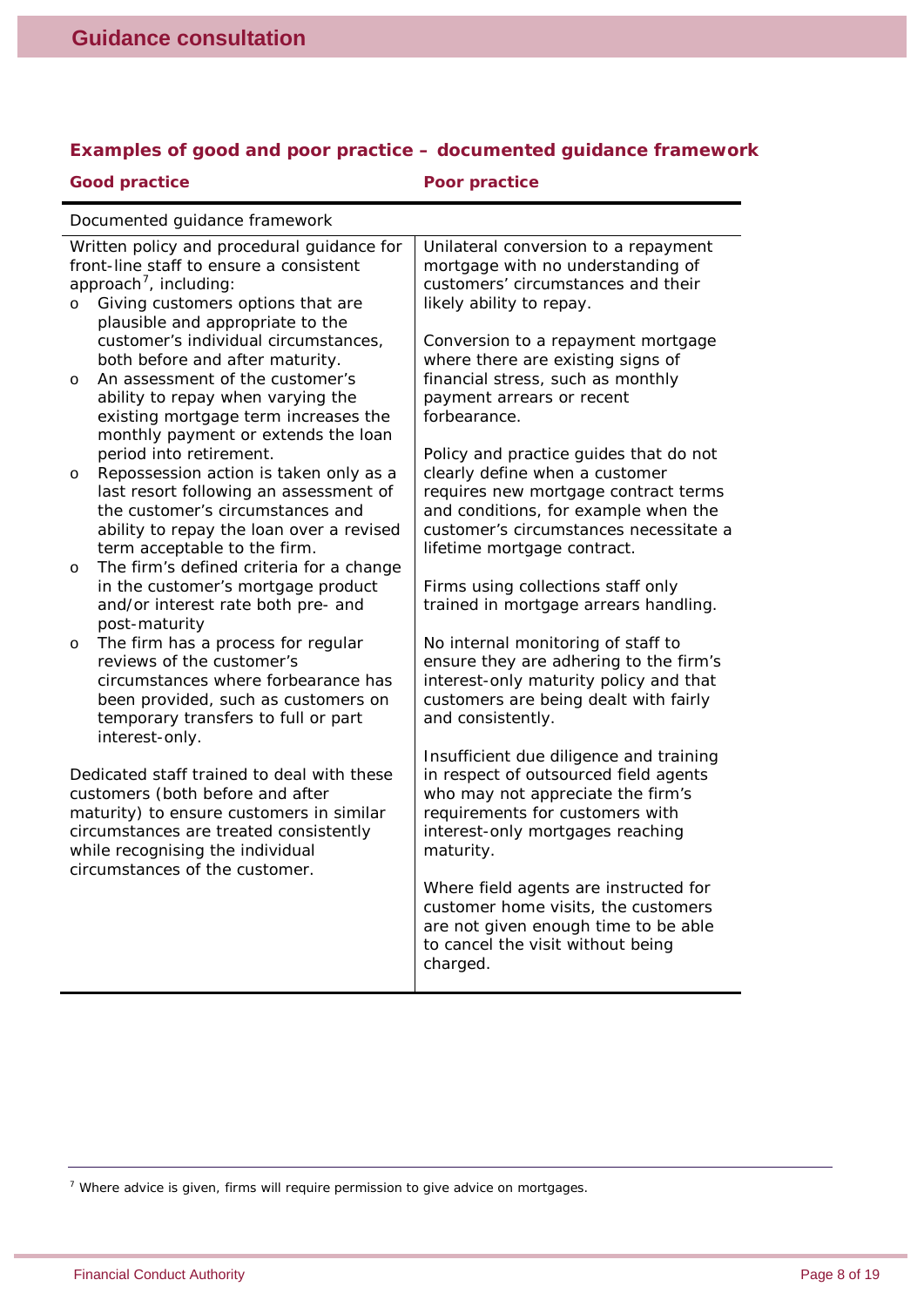|  |  |  | Examples of good and poor practice - documented guidance framework |  |
|--|--|--|--------------------------------------------------------------------|--|
|  |  |  |                                                                    |  |
|  |  |  |                                                                    |  |

| <b>Good practice</b>                                                                                                                                                                                                                      | <b>Poor practice</b>                                                                                                                                                                                                              |  |  |  |  |
|-------------------------------------------------------------------------------------------------------------------------------------------------------------------------------------------------------------------------------------------|-----------------------------------------------------------------------------------------------------------------------------------------------------------------------------------------------------------------------------------|--|--|--|--|
| Documented guidance framework                                                                                                                                                                                                             |                                                                                                                                                                                                                                   |  |  |  |  |
| Written policy and procedural guidance for<br>front-line staff to ensure a consistent<br>approach <sup>7</sup> , including:<br>Giving customers options that are<br>$\circ$<br>plausible and appropriate to the                           | Unilateral conversion to a repayment<br>mortgage with no understanding of<br>customers' circumstances and their<br>likely ability to repay.                                                                                       |  |  |  |  |
| customer's individual circumstances,<br>both before and after maturity.<br>An assessment of the customer's<br>$\circ$<br>ability to repay when varying the<br>existing mortgage term increases the<br>monthly payment or extends the loan | Conversion to a repayment mortgage<br>where there are existing signs of<br>financial stress, such as monthly<br>payment arrears or recent<br>forbearance.                                                                         |  |  |  |  |
| period into retirement.<br>Repossession action is taken only as a<br>$\circ$<br>last resort following an assessment of<br>the customer's circumstances and<br>ability to repay the loan over a revised<br>term acceptable to the firm.    | Policy and practice guides that do not<br>clearly define when a customer<br>requires new mortgage contract terms<br>and conditions, for example when the<br>customer's circumstances necessitate a<br>lifetime mortgage contract. |  |  |  |  |
| The firm's defined criteria for a change<br>$\circ$<br>in the customer's mortgage product<br>and/or interest rate both pre- and<br>post-maturity                                                                                          | Firms using collections staff only<br>trained in mortgage arrears handling.                                                                                                                                                       |  |  |  |  |
| The firm has a process for regular<br>$\circ$<br>reviews of the customer's<br>circumstances where forbearance has<br>been provided, such as customers on<br>temporary transfers to full or part<br>interest-only.                         | No internal monitoring of staff to<br>ensure they are adhering to the firm's<br>interest-only maturity policy and that<br>customers are being dealt with fairly<br>and consistently.                                              |  |  |  |  |
| Dedicated staff trained to deal with these<br>customers (both before and after<br>maturity) to ensure customers in similar<br>circumstances are treated consistently<br>while recognising the individual                                  | Insufficient due diligence and training<br>in respect of outsourced field agents<br>who may not appreciate the firm's<br>requirements for customers with<br>interest-only mortgages reaching<br>maturity.                         |  |  |  |  |
| circumstances of the customer.                                                                                                                                                                                                            | Where field agents are instructed for<br>customer home visits, the customers<br>are not given enough time to be able<br>to cancel the visit without being<br>charged.                                                             |  |  |  |  |

<span id="page-7-0"></span> $7$  Where advice is given, firms will require permission to give advice on mortgages.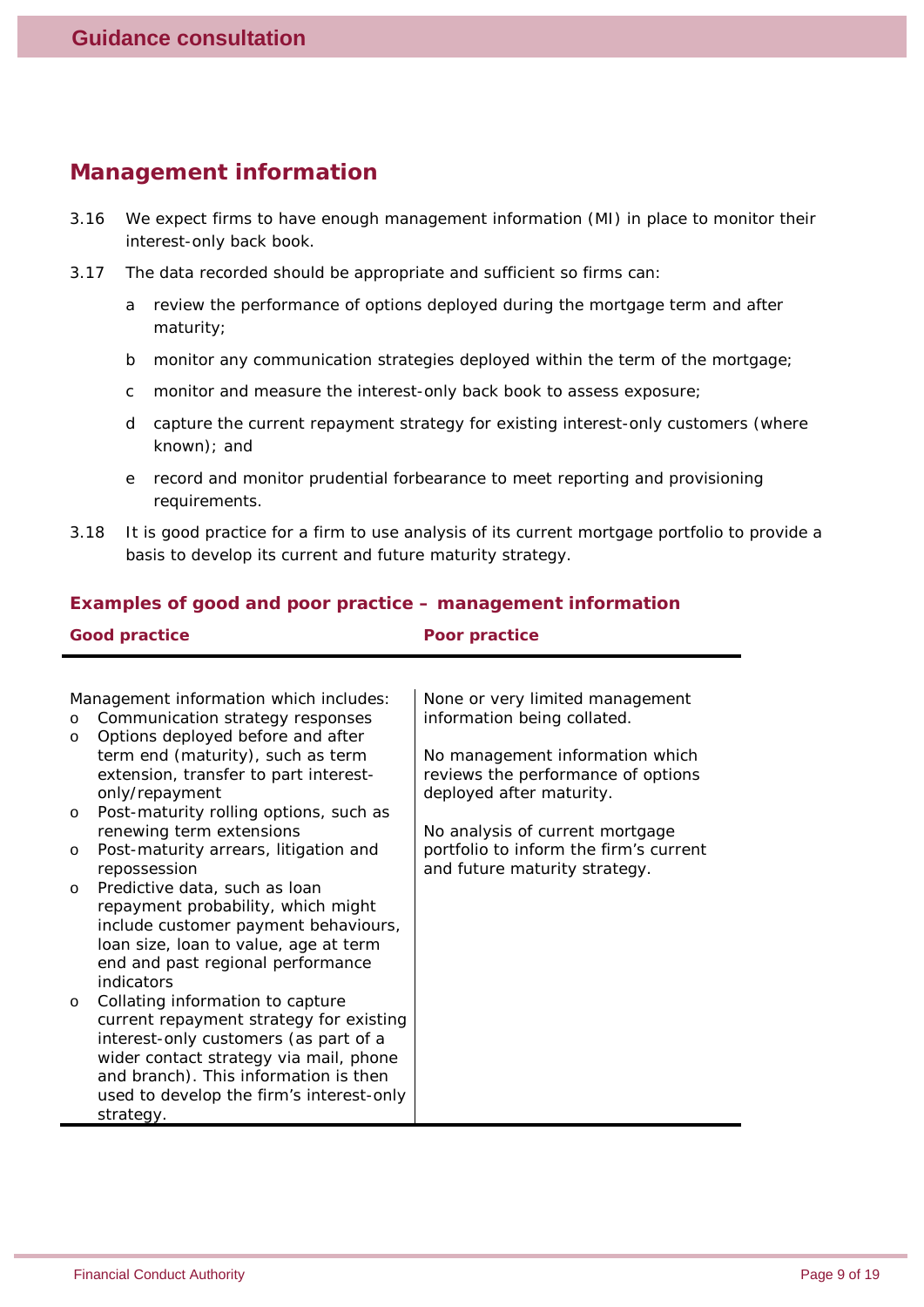#### **Management information**

- 3.16 We expect firms to have enough management information (MI) in place to monitor their interest-only back book.
- 3.17 The data recorded should be appropriate and sufficient so firms can:
	- a review the performance of options deployed during the mortgage term and after maturity;
	- b monitor any communication strategies deployed within the term of the mortgage;
	- c monitor and measure the interest-only back book to assess exposure;
	- d capture the current repayment strategy for existing interest-only customers (where known); and
	- e record and monitor prudential forbearance to meet reporting and provisioning requirements.
- 3.18 It is good practice for a firm to use analysis of its current mortgage portfolio to provide a basis to develop its current and future maturity strategy.

#### *Examples of good and poor practice – management information* **Good practice Poor practice**

| <b>GOOD DI ACTICE</b>                                                      | <b>POOL DI ACTICE</b>                  |
|----------------------------------------------------------------------------|----------------------------------------|
|                                                                            |                                        |
| Management information which includes:                                     | None or very limited management        |
| Communication strategy responses<br>$\circ$                                | information being collated.            |
| Options deployed before and after<br>$\circ$                               |                                        |
| term end (maturity), such as term                                          | No management information which        |
| extension, transfer to part interest-                                      | reviews the performance of options     |
| only/repayment                                                             | deployed after maturity.               |
| Post-maturity rolling options, such as<br>$\circ$                          |                                        |
| renewing term extensions                                                   | No analysis of current mortgage        |
| Post-maturity arrears, litigation and<br>$\circ$                           | portfolio to inform the firm's current |
| repossession                                                               | and future maturity strategy.          |
| Predictive data, such as loan<br>$\circ$                                   |                                        |
| repayment probability, which might                                         |                                        |
| include customer payment behaviours,                                       |                                        |
| loan size, loan to value, age at term<br>end and past regional performance |                                        |
| indicators                                                                 |                                        |
| Collating information to capture<br>$\circ$                                |                                        |
| current repayment strategy for existing                                    |                                        |
| interest-only customers (as part of a                                      |                                        |
| wider contact strategy via mail, phone                                     |                                        |
| and branch). This information is then                                      |                                        |
| used to develop the firm's interest-only                                   |                                        |
| strategy.                                                                  |                                        |
|                                                                            |                                        |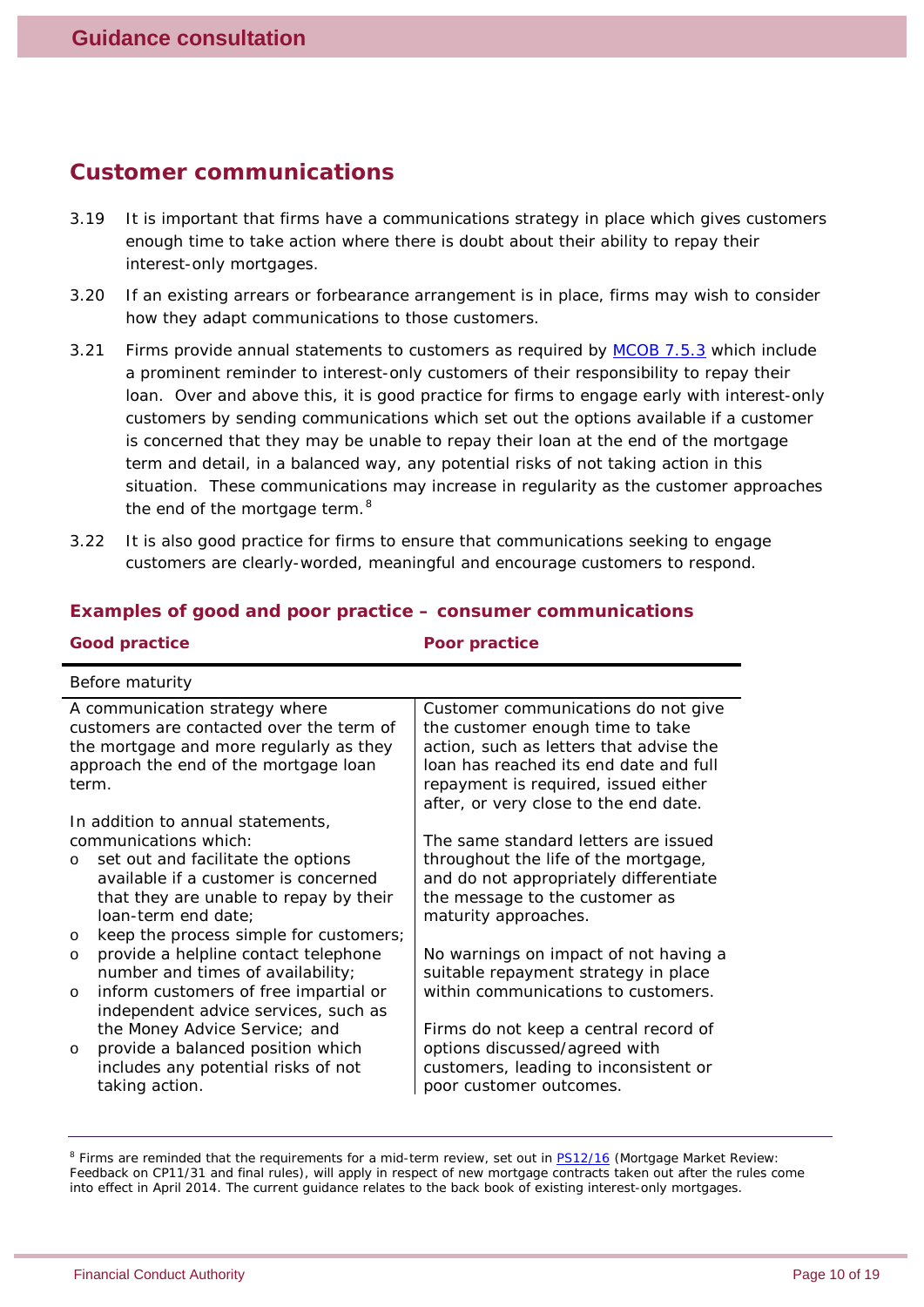#### **Customer communications**

- 3.19 It is important that firms have a communications strategy in place which gives customers enough time to take action where there is doubt about their ability to repay their interest-only mortgages.
- 3.20 If an existing arrears or forbearance arrangement is in place, firms may wish to consider how they adapt communications to those customers.
- 3.21 Firms provide annual statements to customers as required by [MCOB 7.5.3](http://www.fshandbook.info/FS/html/FCA/MCOB/7/5) which include a prominent reminder to interest-only customers of their responsibility to repay their loan. Over and above this, it is good practice for firms to engage early with interest-only customers by sending communications which set out the options available if a customer is concerned that they may be unable to repay their loan at the end of the mortgage term and detail, in a balanced way, any potential risks of not taking action in this situation. These communications may increase in regularity as the customer approaches the end of the mortgage term.<sup>[8](#page-9-0)</sup>
- 3.22 It is also good practice for firms to ensure that communications seeking to engage customers are clearly-worded, meaningful and encourage customers to respond.

| <b>Good practice</b>                                                                                                                                                                                                                                                                                                                                                                                                                                                                                                                                                                                    | Poor practice                                                                                                                                                                                                                                                                                                                                                                                                                                          |
|---------------------------------------------------------------------------------------------------------------------------------------------------------------------------------------------------------------------------------------------------------------------------------------------------------------------------------------------------------------------------------------------------------------------------------------------------------------------------------------------------------------------------------------------------------------------------------------------------------|--------------------------------------------------------------------------------------------------------------------------------------------------------------------------------------------------------------------------------------------------------------------------------------------------------------------------------------------------------------------------------------------------------------------------------------------------------|
| <b>Before maturity</b>                                                                                                                                                                                                                                                                                                                                                                                                                                                                                                                                                                                  |                                                                                                                                                                                                                                                                                                                                                                                                                                                        |
| A communication strategy where<br>customers are contacted over the term of<br>the mortgage and more regularly as they<br>approach the end of the mortgage loan<br>term.                                                                                                                                                                                                                                                                                                                                                                                                                                 | Customer communications do not give<br>the customer enough time to take<br>action, such as letters that advise the<br>loan has reached its end date and full<br>repayment is required, issued either<br>after, or very close to the end date.                                                                                                                                                                                                          |
| In addition to annual statements,<br>communications which:<br>set out and facilitate the options<br>$\circ$<br>available if a customer is concerned<br>that they are unable to repay by their<br>loan-term end date;<br>keep the process simple for customers;<br>$\circ$<br>provide a helpline contact telephone<br>$\circ$<br>number and times of availability;<br>inform customers of free impartial or<br>$\circ$<br>independent advice services, such as<br>the Money Advice Service; and<br>provide a balanced position which<br>$\circ$<br>includes any potential risks of not<br>taking action. | The same standard letters are issued<br>throughout the life of the mortgage,<br>and do not appropriately differentiate<br>the message to the customer as<br>maturity approaches.<br>No warnings on impact of not having a<br>suitable repayment strategy in place<br>within communications to customers.<br>Firms do not keep a central record of<br>options discussed/agreed with<br>customers, leading to inconsistent or<br>poor customer outcomes. |

#### *Examples of good and poor practice – consumer communications*

<span id="page-9-0"></span><sup>&</sup>lt;sup>8</sup> Firms are reminded that the requirements for a mid-term review, set out in **PS12/16** (Mortgage Market Review: *Feedback on CP11/31 and final rules*), will apply in respect of new mortgage contracts taken out after the rules come into effect in April 2014. The current guidance relates to the back book of existing interest-only mortgages.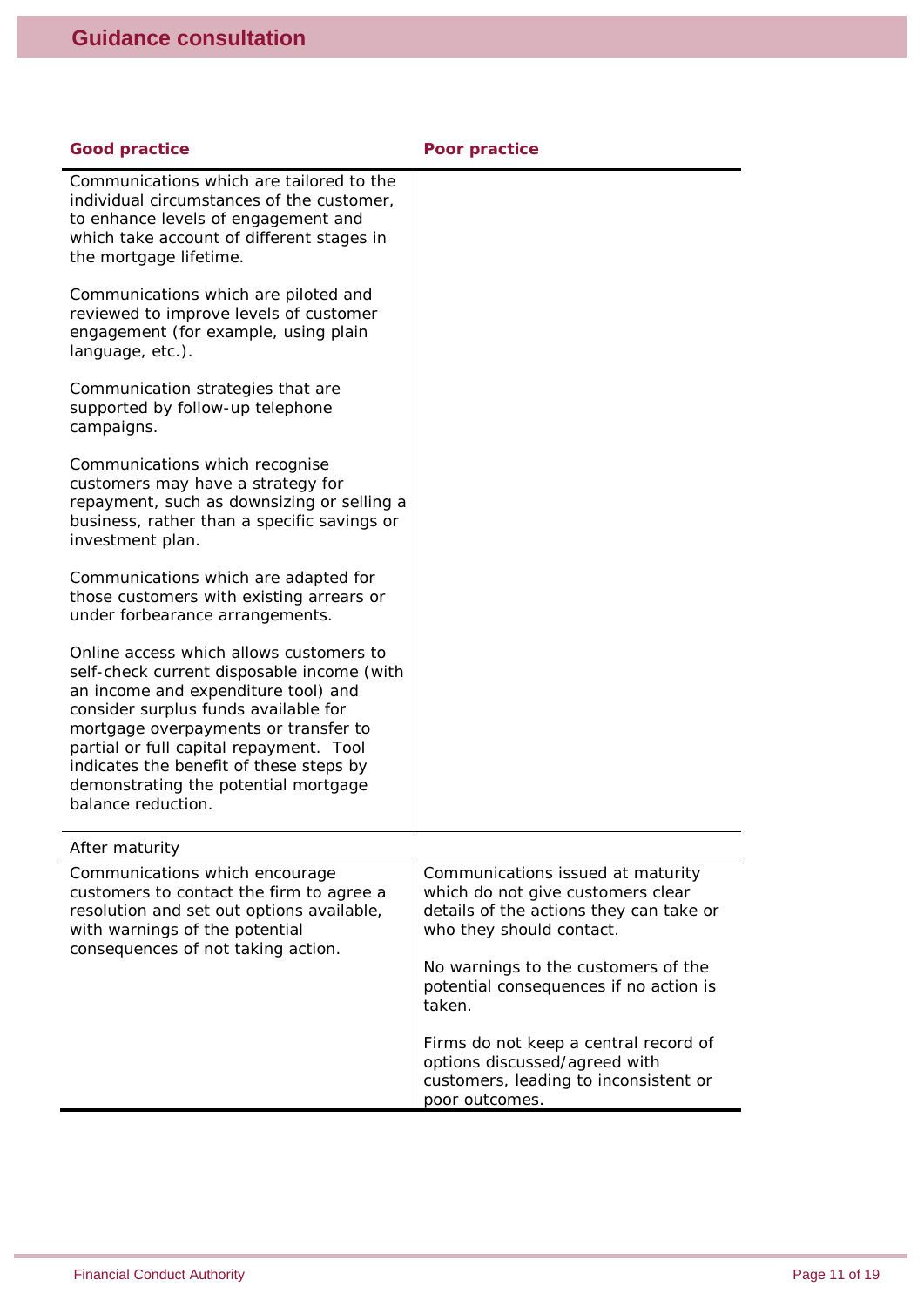| <b>Good practice</b>                                                                                                                                                                                                                                                                                                                                             | <b>Poor practice</b>                                                                                                                          |
|------------------------------------------------------------------------------------------------------------------------------------------------------------------------------------------------------------------------------------------------------------------------------------------------------------------------------------------------------------------|-----------------------------------------------------------------------------------------------------------------------------------------------|
| Communications which are tailored to the<br>individual circumstances of the customer,<br>to enhance levels of engagement and<br>which take account of different stages in<br>the mortgage lifetime.                                                                                                                                                              |                                                                                                                                               |
| Communications which are piloted and<br>reviewed to improve levels of customer<br>engagement (for example, using plain<br>language, etc.).                                                                                                                                                                                                                       |                                                                                                                                               |
| Communication strategies that are<br>supported by follow-up telephone<br>campaigns.                                                                                                                                                                                                                                                                              |                                                                                                                                               |
| Communications which recognise<br>customers may have a strategy for<br>repayment, such as downsizing or selling a<br>business, rather than a specific savings or<br>investment plan.                                                                                                                                                                             |                                                                                                                                               |
| Communications which are adapted for<br>those customers with existing arrears or<br>under forbearance arrangements.                                                                                                                                                                                                                                              |                                                                                                                                               |
| Online access which allows customers to<br>self-check current disposable income (with<br>an income and expenditure tool) and<br>consider surplus funds available for<br>mortgage overpayments or transfer to<br>partial or full capital repayment. Tool<br>indicates the benefit of these steps by<br>demonstrating the potential mortgage<br>balance reduction. |                                                                                                                                               |
| After maturity                                                                                                                                                                                                                                                                                                                                                   |                                                                                                                                               |
| Communications which encourage<br>customers to contact the firm to agree a<br>resolution and set out options available,<br>with warnings of the potential<br>consequences of not taking action.                                                                                                                                                                  | Communications issued at maturity<br>which do not give customers clear<br>details of the actions they can take or<br>who they should contact. |
|                                                                                                                                                                                                                                                                                                                                                                  | No warnings to the customers of the<br>potential consequences if no action is<br>taken.                                                       |
|                                                                                                                                                                                                                                                                                                                                                                  | Firms do not keep a central record of<br>options discussed/agreed with<br>customers, leading to inconsistent or<br>poor outcomes.             |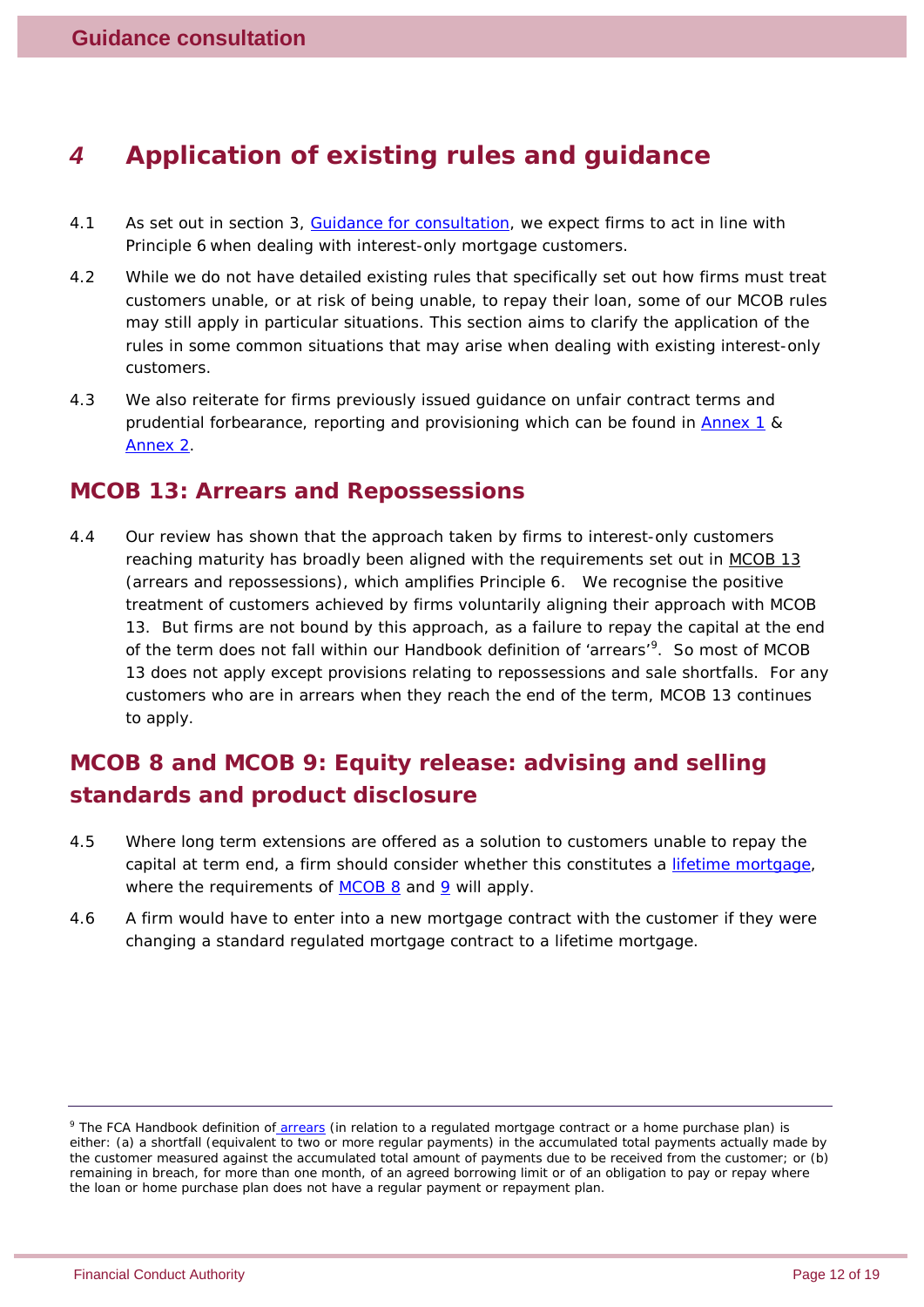# *4 Application of existing rules and guidance*

- 4.1 As set out in section 3, [Guidance for consultation,](#page-4-1) we expect firms to act in line with Principle 6 when dealing with interest-only mortgage customers.
- 4.2 While we do not have detailed existing rules that specifically set out how firms must treat customers unable, or at risk of being unable, to repay their loan, some of our MCOB rules may still apply in particular situations. This section aims to clarify the application of the rules in some common situations that may arise when dealing with existing interest-only customers.
- 4.3 We also reiterate for firms previously issued guidance on unfair contract terms and prudential forbearance, reporting and provisioning which can be found in [Annex 1](#page-15-0) & [Annex 2.](#page-16-0)

#### **MCOB 13: Arrears and Repossessions**

4.4 Our review has shown that the approach taken by firms to interest-only customers reaching maturity has broadly been aligned with the requirements set out in [MCOB 13](http://www.fshandbook.info/FS/html/FCA/MCOB/13) (arrears and repossessions), which amplifies Principle 6. We recognise the positive treatment of customers achieved by firms voluntarily aligning their approach with MCOB 13. But firms are not bound by this approach, as a failure to repay the capital at the end of the term does not fall within our Handbook definition of 'arrears'<sup>[9](#page-11-0)</sup>. So most of MCOB 13 does not apply except provisions relating to repossessions and sale shortfalls. For any customers who are in arrears when they reach the end of the term, MCOB 13 continues to apply.

## **MCOB 8 and MCOB 9: Equity release: advising and selling standards and product disclosure**

- 4.5 Where long term extensions are offered as a solution to customers unable to repay the capital at term end, a firm should consider whether this constitutes a *[lifetime mortgage](http://www.fshandbook.info/FS/glossary-html/handbook/Glossary/L?definition=G1294)*, where the requirements of  $MCOB 8$  and  $9$  will apply.</u></u>
- 4.6 A firm would have to enter into a new mortgage contract with the customer if they were changing a standard regulated mortgage contract to a lifetime mortgage.

<span id="page-11-0"></span><sup>&</sup>lt;sup>9</sup> The FCA Handbook definition of *[arrears](http://www.fshandbook.info/FS/glossary-html/handbook/Glossary/A?definition=G1275)* (in relation to a regulated mortgage contract or a home purchase plan) is either: (a) a shortfall (equivalent to two or more regular payments) in the accumulated total payments actually made by the customer measured against the accumulated total amount of payments due to be received from the customer; or (b) remaining in breach, for more than one month, of an agreed borrowing limit or of an obligation to pay or repay where the loan or home purchase plan does not have a regular payment or repayment plan.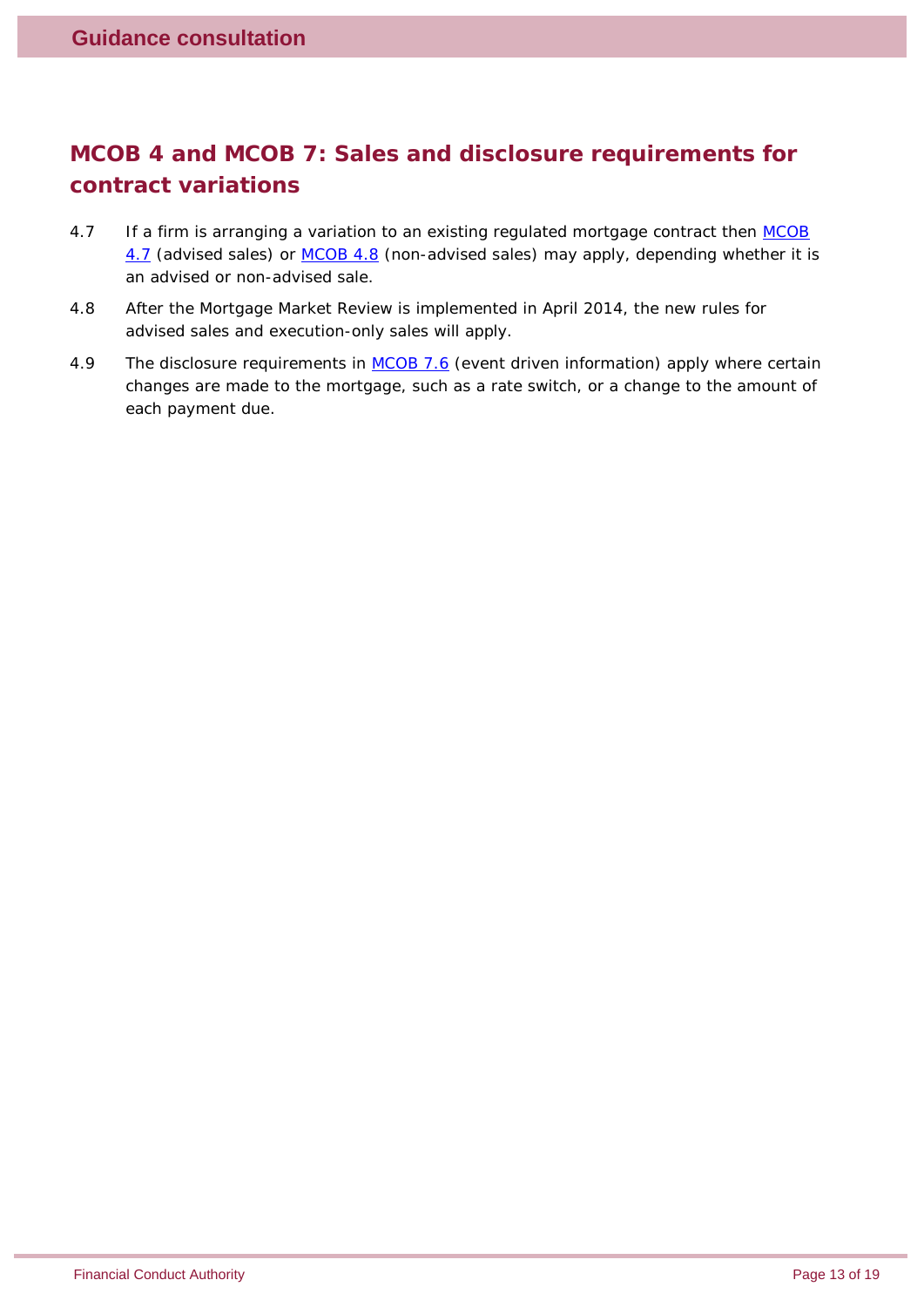## **MCOB 4 and MCOB 7: Sales and disclosure requirements for contract variations**

- 4.7 If a firm is arranging a variation to an existing regulated mortgage contract then MCOB [4.7](http://www.fshandbook.info/FS/html/FCA/MCOB/4/7) (advised sales) or [MCOB 4.8](http://www.fshandbook.info/FS/html/FCA/MCOB/4/8) (non-advised sales) may apply, depending whether it is an advised or non-advised sale.
- 4.8 After the Mortgage Market Review is implemented in April 2014, the new rules for advised sales and execution-only sales will apply.
- 4.9 The disclosure requirements in [MCOB 7.6](http://www.fshandbook.info/FS/html/FCA/MCOB/7/6) (event driven information) apply where certain changes are made to the mortgage, such as a rate switch, or a change to the amount of each payment due.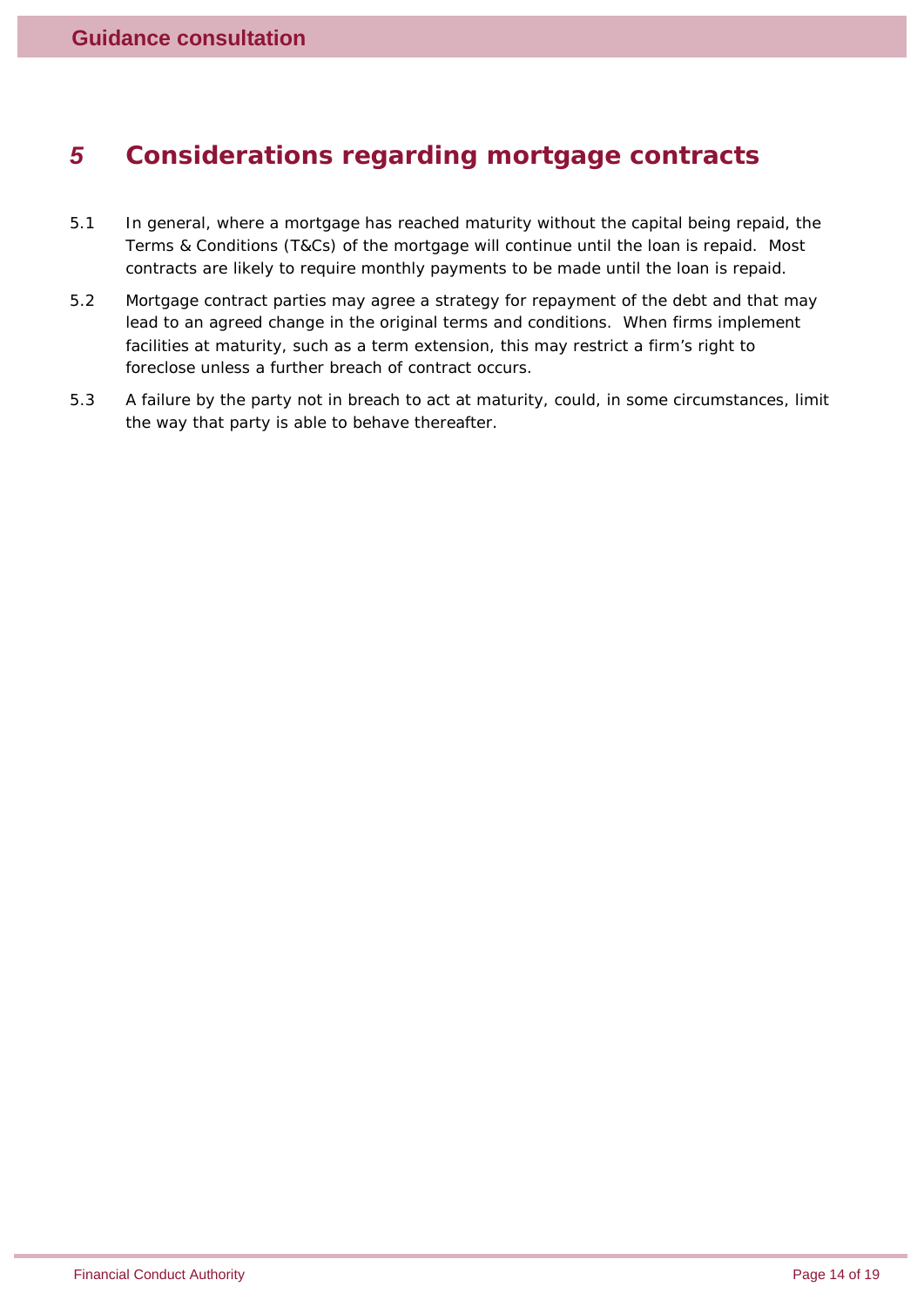# *5 Considerations regarding mortgage contracts*

- 5.1 In general, where a mortgage has reached maturity without the capital being repaid, the Terms & Conditions (T&Cs) of the mortgage will continue until the loan is repaid. Most contracts are likely to require monthly payments to be made until the loan is repaid.
- 5.2 Mortgage contract parties may agree a strategy for repayment of the debt and that may lead to an agreed change in the original terms and conditions. When firms implement facilities at maturity, such as a term extension, this may restrict a firm's right to foreclose unless a further breach of contract occurs.
- 5.3 A failure by the party not in breach to act at maturity, could, in some circumstances, limit the way that party is able to behave thereafter.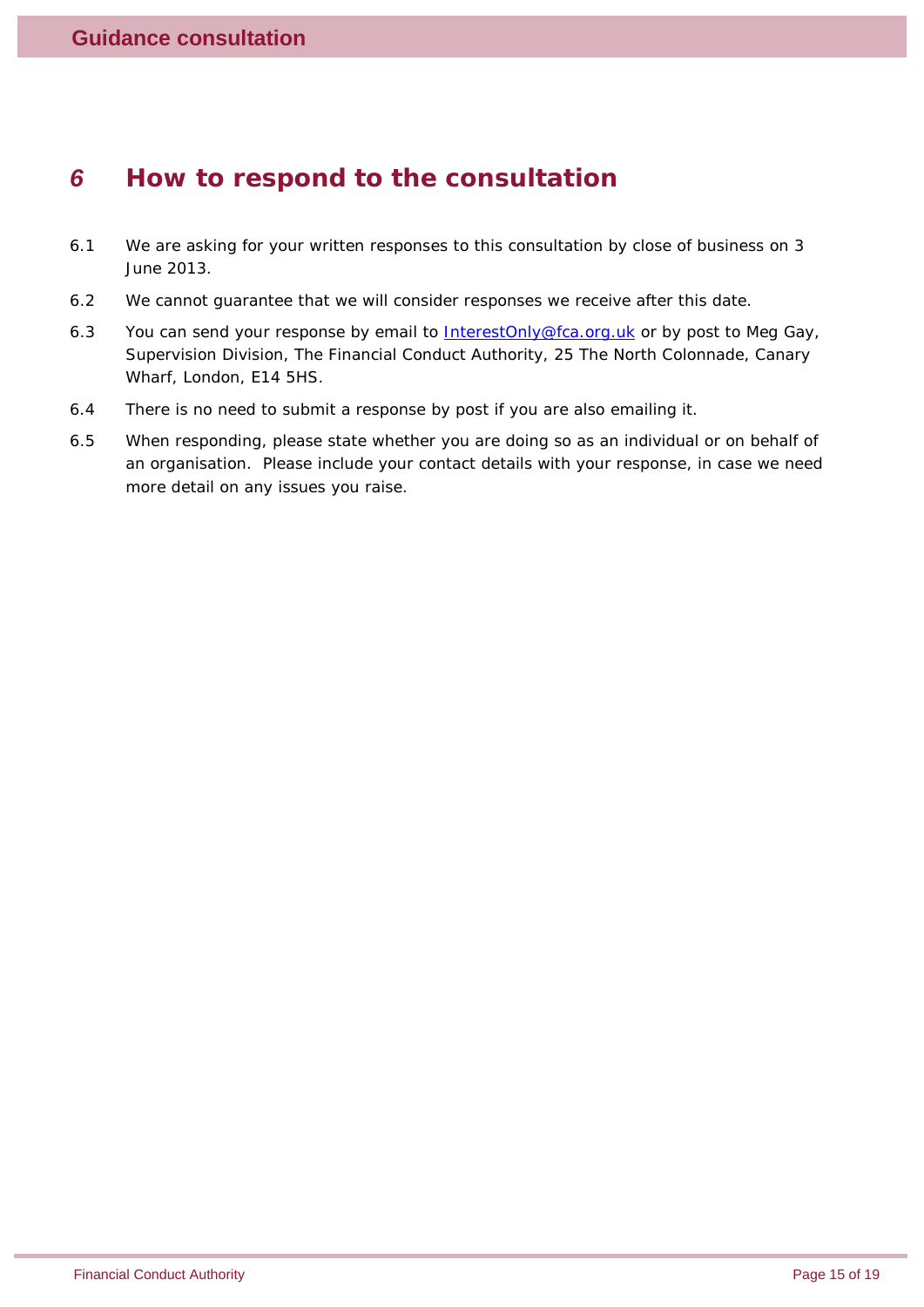## *6 How to respond to the consultation*

- 6.1 We are asking for your written responses to this consultation by close of business on 3 June 2013.
- 6.2 We cannot guarantee that we will consider responses we receive after this date.
- 6.3 You can send your response by email to  $InterestOnly@fa.org.uk$  or by post to Meg Gay, Supervision Division, The Financial Conduct Authority, 25 The North Colonnade, Canary Wharf, London, E14 5HS.
- 6.4 There is no need to submit a response by post if you are also emailing it.
- 6.5 When responding, please state whether you are doing so as an individual or on behalf of an organisation. Please include your contact details with your response, in case we need more detail on any issues you raise.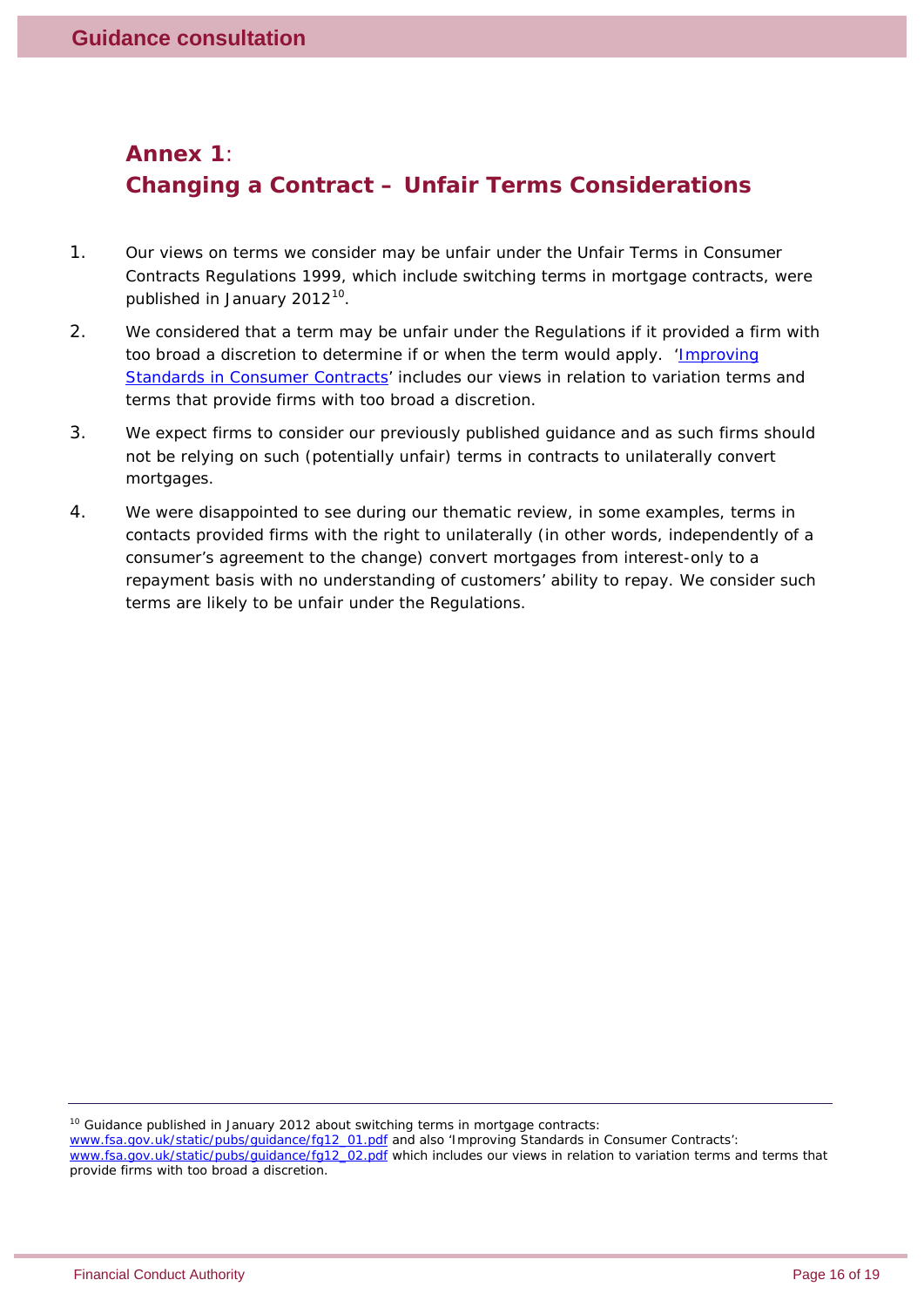### <span id="page-15-0"></span>**Annex 1**: **Changing a Contract – Unfair Terms Considerations**

- 1. Our views on terms we consider may be unfair under the Unfair Terms in Consumer Contracts Regulations 1999, which include switching terms in mortgage contracts, were published in January 2012<sup>[10](#page-15-1)</sup>.
- 2. We considered that a term may be unfair under the Regulations if it provided a firm with too broad a discretion to determine if or when the term would apply. 'Improving [Standards in Consumer Contracts'](http://www.fsa.gov.uk/static/pubs/guidance/fg12_02.pdf) includes our views in relation to variation terms and terms that provide firms with too broad a discretion.
- 3. We expect firms to consider our previously published guidance and as such firms should not be relying on such (potentially unfair) terms in contracts to unilaterally convert mortgages.
- 4. We were disappointed to see during our thematic review, in some examples, terms in contacts provided firms with the right to unilaterally (in other words, independently of a consumer's agreement to the change) convert mortgages from interest-only to a repayment basis with no understanding of customers' ability to repay. We consider such terms are likely to be unfair under the Regulations.

<span id="page-15-1"></span> $10$  Guidance published in January 2012 about switching terms in mortgage contracts:

[www.fsa.gov.uk/static/pubs/guidance/fg12\\_01.pdf](http://www.fsa.gov.uk/static/pubs/guidance/fg12_01.pdf) and also 'Improving Standards in Consumer Contracts':

[www.fsa.gov.uk/static/pubs/guidance/fg12\\_02.pdf](http://www.fsa.gov.uk/static/pubs/guidance/fg12_02.pdf) which includes our views in relation to variation terms and terms that provide firms with too broad a discretion.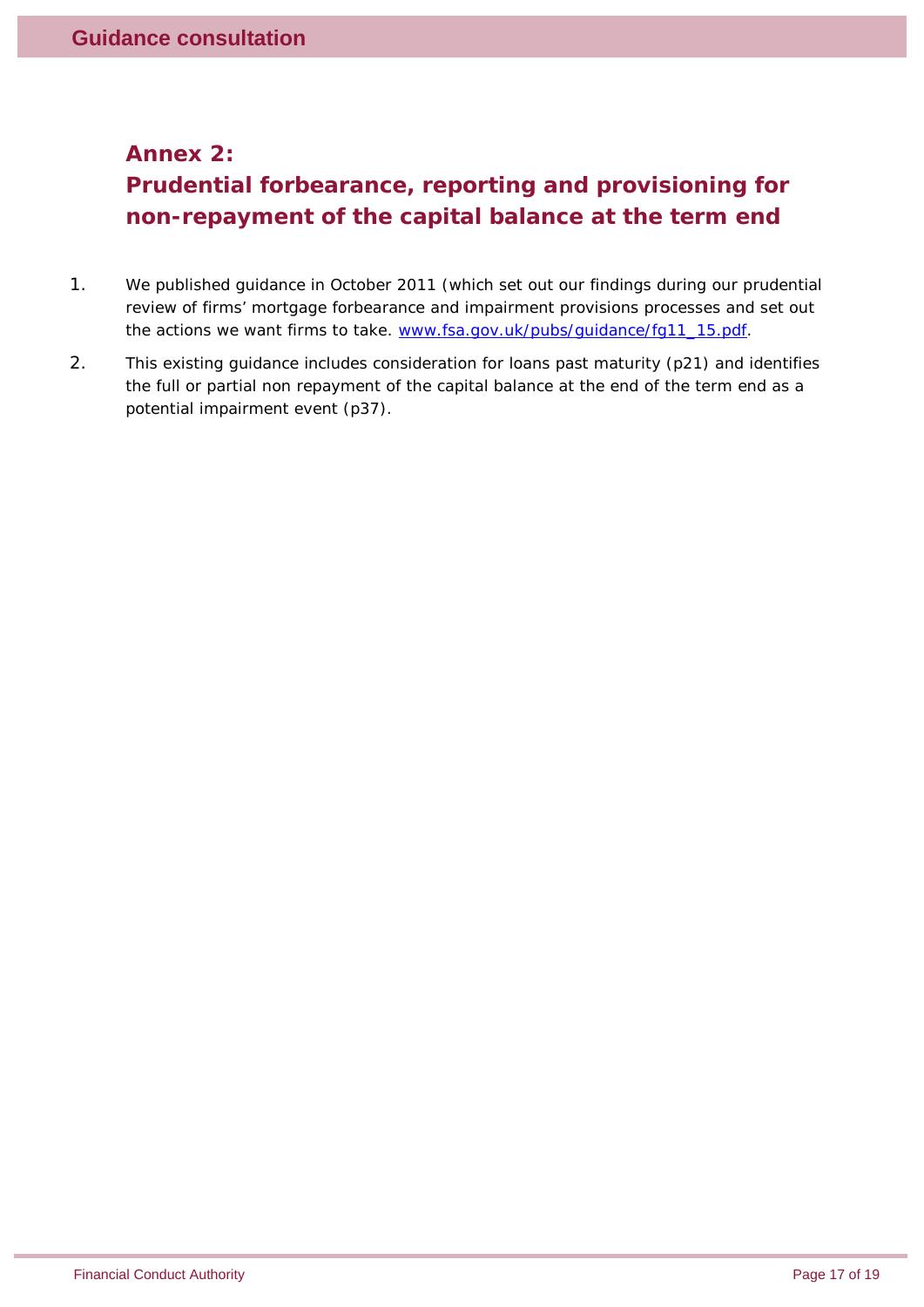#### <span id="page-16-0"></span>**Annex 2:**

# **Prudential forbearance, reporting and provisioning for non-repayment of the capital balance at the term end**

- 1. We published guidance in October 2011 (which set out our findings during our prudential review of firms' mortgage forbearance and impairment provisions processes and set out the actions we want firms to take. [www.fsa.gov.uk/pubs/guidance/fg11\\_15.pdf.](http://www.fsa.gov.uk/pubs/guidance/fg11_15.pdf)
- 2. This existing guidance includes consideration for loans past maturity (p21) and identifies the full or partial non repayment of the capital balance at the end of the term end as a potential impairment event (p37).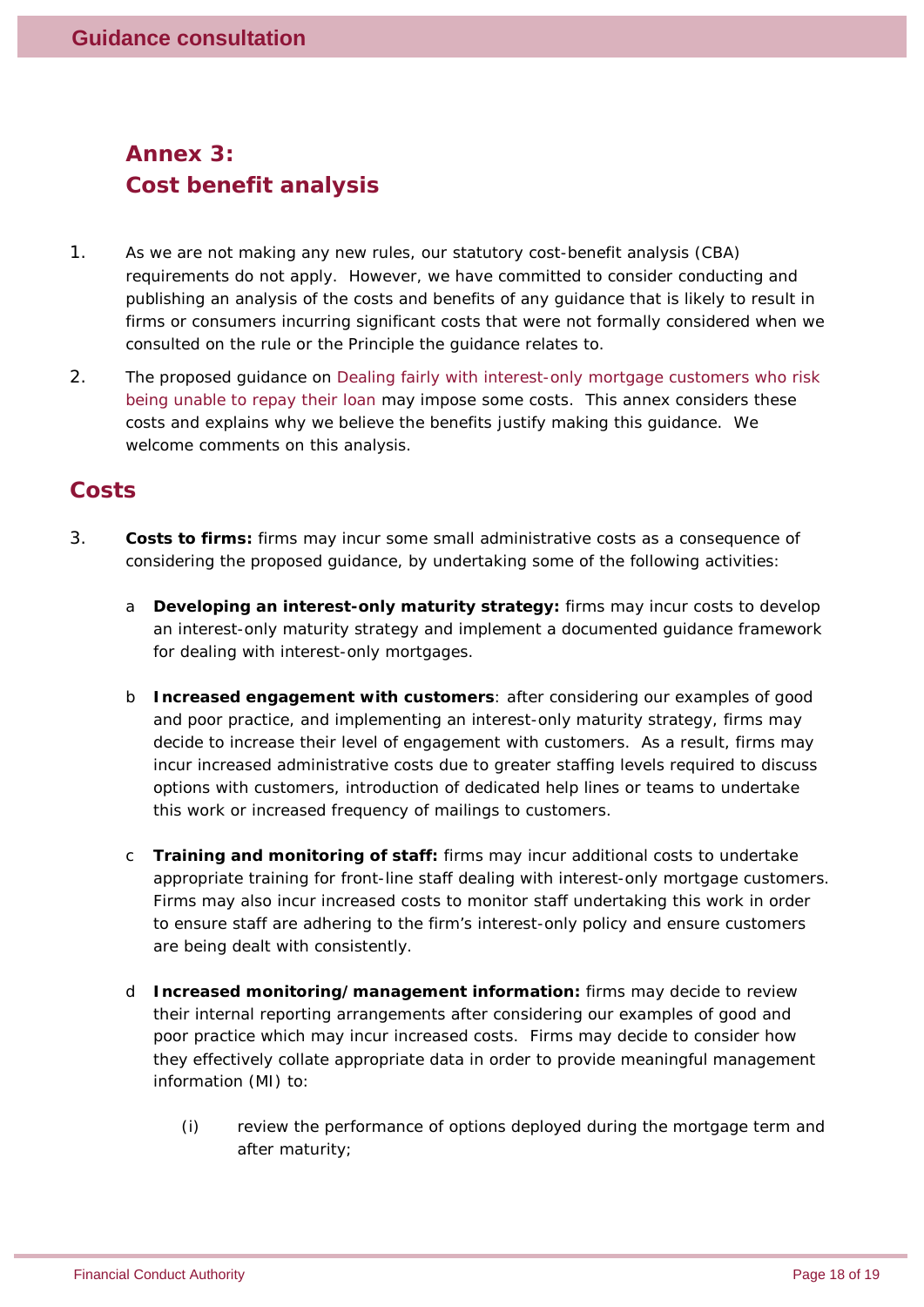# **Annex 3: Cost benefit analysis**

- 1. As we are not making any new rules, our statutory cost-benefit analysis (CBA) requirements do not apply. However, we have committed to consider conducting and publishing an analysis of the costs and benefits of any guidance that is likely to result in firms or consumers incurring significant costs that were not formally considered when we consulted on the rule or the Principle the guidance relates to.
- 2. The proposed guidance on *Dealing fairly with interest-only mortgage customers who risk being unable to repay their loan* may impose some costs. This annex considers these costs and explains why we believe the benefits justify making this guidance. We welcome comments on this analysis.

### **Costs**

- 3. **Costs to firms:** firms may incur some small administrative costs as a consequence of considering the proposed guidance, by undertaking some of the following activities:
	- a **Developing an interest-only maturity strategy:** firms may incur costs to develop an interest-only maturity strategy and implement a documented guidance framework for dealing with interest-only mortgages.
	- b **Increased engagement with customers**: after considering our examples of good and poor practice, and implementing an interest-only maturity strategy, firms may decide to increase their level of engagement with customers. As a result, firms may incur increased administrative costs due to greater staffing levels required to discuss options with customers, introduction of dedicated help lines or teams to undertake this work or increased frequency of mailings to customers.
	- c **Training and monitoring of staff:** firms may incur additional costs to undertake appropriate training for front-line staff dealing with interest-only mortgage customers. Firms may also incur increased costs to monitor staff undertaking this work in order to ensure staff are adhering to the firm's interest-only policy and ensure customers are being dealt with consistently.
	- d **Increased monitoring/management information:** firms may decide to review their internal reporting arrangements after considering our examples of good and poor practice which may incur increased costs. Firms may decide to consider how they effectively collate appropriate data in order to provide meaningful management information (MI) to:
		- (i) review the performance of options deployed during the mortgage term and after maturity;